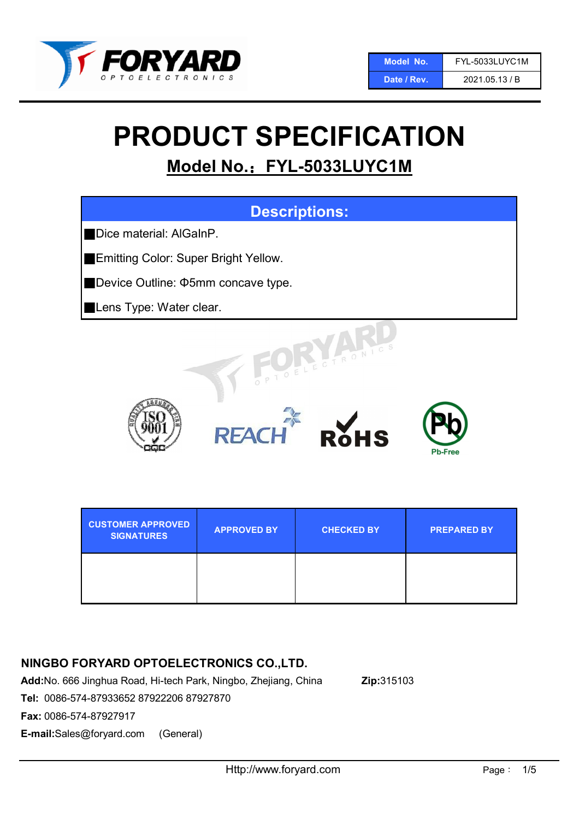

# PRODUCT SPECIFICATION

## Model No.: FYL-5033LUYC1M



| <b>CUSTOMER APPROVED</b><br><b>SIGNATURES</b> | <b>APPROVED BY</b> | <b>CHECKED BY</b> | <b>PREPARED BY</b> |
|-----------------------------------------------|--------------------|-------------------|--------------------|
|                                               |                    |                   |                    |

## NINGBO FORYARD OPTOELECTRONICS CO.,LTD.

Add:No. 666 Jinghua Road, Hi-tech Park, Ningbo, Zhejiang, China Zip:315103

Tel: 0086-574-87933652 87922206 87927870

Fax: 0086-574-87927917

E-mail:Sales@foryard.com (General)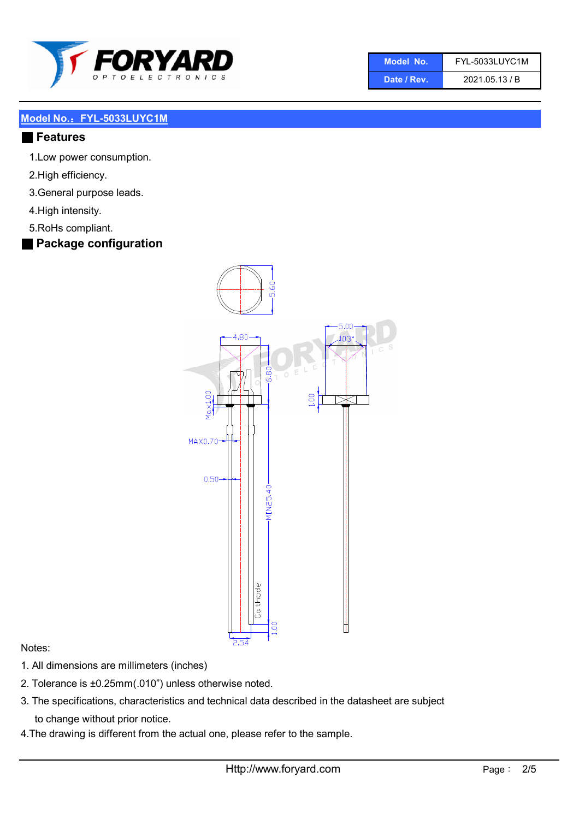

| Model No.   | FYL-5033LUYC1M |  |  |
|-------------|----------------|--|--|
| Date / Rev. | 2021.05.13 / B |  |  |

#### ■ Features

- 1.Low power consumption.
- 2.High efficiency.
- 3.General purpose leads.
- 4.High intensity.
- 5.RoHs compliant.
- Package configuration



#### Notes:

- 1. All dimensions are millimeters (inches)
- 2. Tolerance is ±0.25mm(.010") unless otherwise noted.
- 3. The specifications, characteristics and technical data described in the datasheet are subject to change without prior notice.
- 4.The drawing is different from the actual one, please refer to the sample.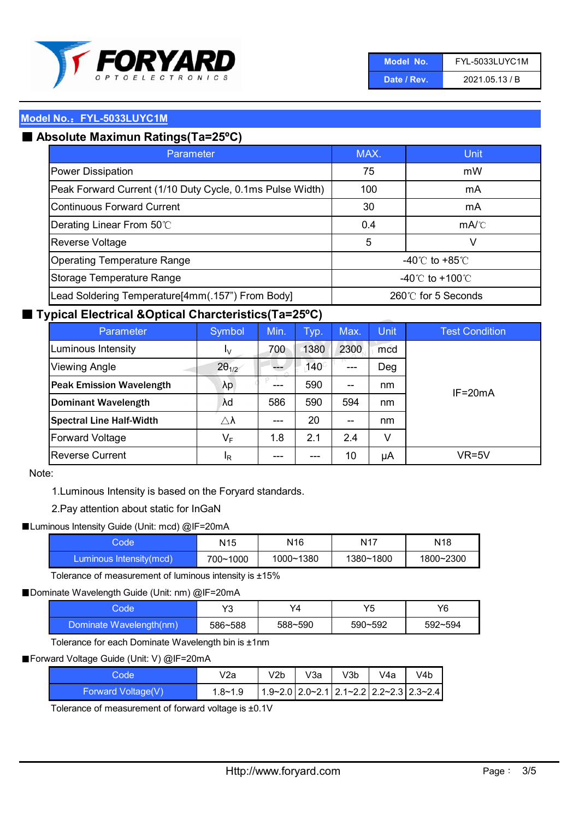

| Model No.   | FYL-5033LUYC1M |
|-------------|----------------|
| Date / Rev. | 2021.05.13 / B |

## ■ Absolute Maximun Ratings(Ta=25°C)

| Parameter                                                 | MAX.                                | Unit                                 |
|-----------------------------------------------------------|-------------------------------------|--------------------------------------|
| Power Dissipation                                         | 75                                  | mW                                   |
| Peak Forward Current (1/10 Duty Cycle, 0.1ms Pulse Width) | 100                                 | mA                                   |
| Continuous Forward Current                                | 30                                  | mA                                   |
| Derating Linear From 50°C                                 | 0.4                                 | $mA$ <sup><math>\circ</math></sup> C |
| Reverse Voltage                                           | 5                                   | v                                    |
| <b>Operating Temperature Range</b>                        | -40 $\degree$ to +85 $\degree$ C    |                                      |
| Storage Temperature Range                                 | $-40^{\circ}$ C to $+100^{\circ}$ C |                                      |
| Lead Soldering Temperature[4mm(.157") From Body]          | 260℃ for 5 Seconds                  |                                      |

#### ■ Typical Electrical &Optical Charcteristics(Ta=25°C)

| Parameter                       | Symbol                  | Min. | Typ.        | Max.                                  | <b>Unit</b> | <b>Test Condition</b> |
|---------------------------------|-------------------------|------|-------------|---------------------------------------|-------------|-----------------------|
| Luminous Intensity              | I <sub>V</sub>          | 700  | 1380        | 2300                                  | mcd         |                       |
| <b>Viewing Angle</b>            | $2\theta_{1/2}$         |      | $140^\circ$ | ---                                   | Deg         |                       |
| <b>Peak Emission Wavelength</b> | λp                      | ---  | 590         | $\hspace{0.05cm}$ – $\hspace{0.05cm}$ | nm          | $IF = 20mA$           |
| <b>Dominant Wavelength</b>      | λd                      | 586  | 590         | 594                                   | nm          |                       |
| <b>Spectral Line Half-Width</b> | $\triangle \lambda$     | ---  | 20          | $- -$                                 | nm          |                       |
| <b>Forward Voltage</b>          | $\mathsf{V}_\mathsf{F}$ | 1.8  | 2.1         | 2.4                                   | V           |                       |
| <b>Reverse Current</b>          | <sup>I</sup> R          | ---  | ---         | 10                                    | μA          | VR=5V                 |

#### Note:

1.Luminous Intensity is based on the Foryard standards.

#### 2.Pay attention about static for InGaN

#### ■Luminous Intensity Guide (Unit: mcd) @IF=20mA

| code:                   | N <sub>15</sub> | N16       | N <sub>17</sub> | N18       |
|-------------------------|-----------------|-----------|-----------------|-----------|
| Luminous Intensity(mcd) | 700~1000        | 1000~1380 | 1380~1800       | 1800~2300 |

Tolerance of measurement of luminous intensity is ±15%

#### ■ Dominate Wavelength Guide (Unit: nm) @IF=20mA

| ode:                    | v2      | Y4      | Υ5      | Y6      |
|-------------------------|---------|---------|---------|---------|
| Dominate Wavelength(nm) | 586~588 | 588~590 | 590~592 | 592~594 |

Tolerance for each Dominate Wavelength bin is ±1nm

#### ■ Forward Voltage Guide (Unit: V) @IF=20mA

| Code               | V2a     | V2b | V3a | V3b | V4a | V4b                                                         |
|--------------------|---------|-----|-----|-----|-----|-------------------------------------------------------------|
| Forward Voltage(V) | 1.8~1.9 |     |     |     |     | $1.9 - 2.0$ 2.0 $- 2.1$ 2.1 $- 2.2$ 2.2 $- 2.3$ 2.3 $- 2.4$ |

Tolerance of measurement of forward voltage is ±0.1V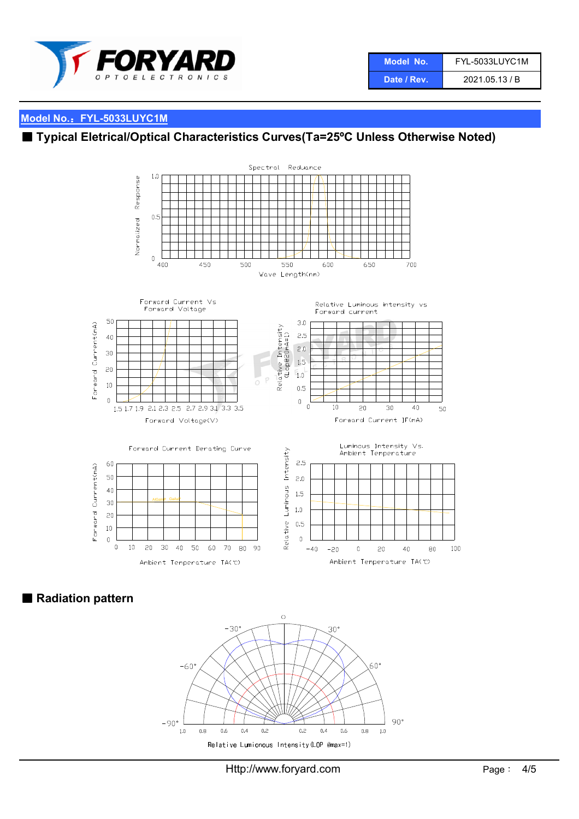

| Model No.'  | <b>FYL-5033LUYC1M</b> |
|-------------|-----------------------|
| Date / Rev. | 2021.05.13 / B        |

## ■ Typical Eletrical/Optical Characteristics Curves(Ta=25°C Unless Otherwise Noted)